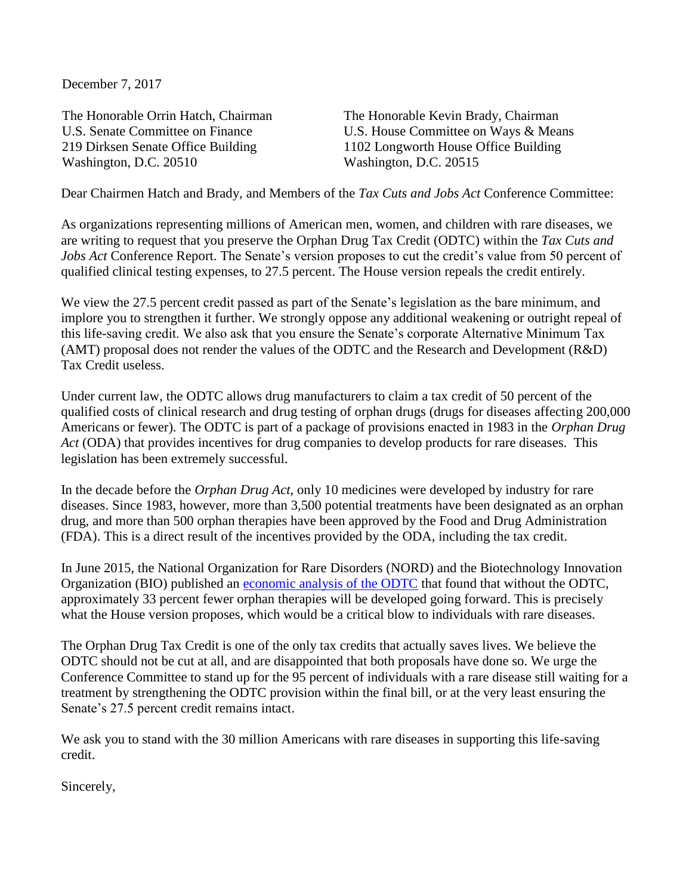December 7, 2017

The Honorable Orrin Hatch, Chairman U.S. Senate Committee on Finance 219 Dirksen Senate Office Building Washington, D.C. 20510

The Honorable Kevin Brady, Chairman U.S. House Committee on Ways & Means 1102 Longworth House Office Building Washington, D.C. 20515

Dear Chairmen Hatch and Brady, and Members of the *Tax Cuts and Jobs Act* Conference Committee:

As organizations representing millions of American men, women, and children with rare diseases, we are writing to request that you preserve the Orphan Drug Tax Credit (ODTC) within the *Tax Cuts and Jobs Act* Conference Report. The Senate's version proposes to cut the credit's value from 50 percent of qualified clinical testing expenses, to 27.5 percent. The House version repeals the credit entirely.

We view the 27.5 percent credit passed as part of the Senate's legislation as the bare minimum, and implore you to strengthen it further. We strongly oppose any additional weakening or outright repeal of this life-saving credit. We also ask that you ensure the Senate's corporate Alternative Minimum Tax (AMT) proposal does not render the values of the ODTC and the Research and Development (R&D) Tax Credit useless.

Under current law, the ODTC allows drug manufacturers to claim a tax credit of 50 percent of the qualified costs of clinical research and drug testing of orphan drugs (drugs for diseases affecting 200,000 Americans or fewer). The ODTC is part of a package of provisions enacted in 1983 in the *Orphan Drug Act* (ODA) that provides incentives for drug companies to develop products for rare diseases. This legislation has been extremely successful.

In the decade before the *Orphan Drug Act*, only 10 medicines were developed by industry for rare diseases. Since 1983, however, more than 3,500 potential treatments have been designated as an orphan drug, and more than 500 orphan therapies have been approved by the Food and Drug Administration (FDA). This is a direct result of the incentives provided by the ODA, including the tax credit.

In June 2015, the National Organization for Rare Disorders (NORD) and the Biotechnology Innovation Organization (BIO) published an [economic analysis of the ODTC](https://rarediseases.org/assets/files/white-papers/2015-06-17.nord-bio-ey-odtc.pdf) that found that without the ODTC, approximately 33 percent fewer orphan therapies will be developed going forward. This is precisely what the House version proposes, which would be a critical blow to individuals with rare diseases.

The Orphan Drug Tax Credit is one of the only tax credits that actually saves lives. We believe the ODTC should not be cut at all, and are disappointed that both proposals have done so. We urge the Conference Committee to stand up for the 95 percent of individuals with a rare disease still waiting for a treatment by strengthening the ODTC provision within the final bill, or at the very least ensuring the Senate's 27.5 percent credit remains intact.

We ask you to stand with the 30 million Americans with rare diseases in supporting this life-saving credit.

Sincerely,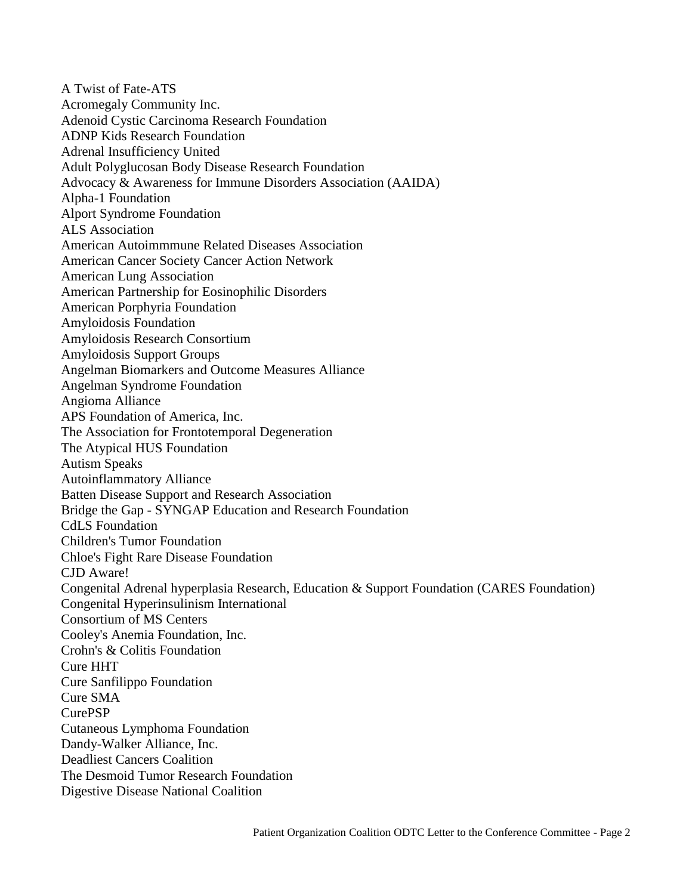A Twist of Fate-ATS Acromegaly Community Inc. Adenoid Cystic Carcinoma Research Foundation ADNP Kids Research Foundation Adrenal Insufficiency United Adult Polyglucosan Body Disease Research Foundation Advocacy & Awareness for Immune Disorders Association (AAIDA) Alpha-1 Foundation Alport Syndrome Foundation ALS Association American Autoimmmune Related Diseases Association American Cancer Society Cancer Action Network American Lung Association American Partnership for Eosinophilic Disorders American Porphyria Foundation Amyloidosis Foundation Amyloidosis Research Consortium Amyloidosis Support Groups Angelman Biomarkers and Outcome Measures Alliance Angelman Syndrome Foundation Angioma Alliance APS Foundation of America, Inc. The Association for Frontotemporal Degeneration The Atypical HUS Foundation Autism Speaks Autoinflammatory Alliance Batten Disease Support and Research Association Bridge the Gap - SYNGAP Education and Research Foundation CdLS Foundation Children's Tumor Foundation Chloe's Fight Rare Disease Foundation CJD Aware! Congenital Adrenal hyperplasia Research, Education & Support Foundation (CARES Foundation) Congenital Hyperinsulinism International Consortium of MS Centers Cooley's Anemia Foundation, Inc. Crohn's & Colitis Foundation Cure HHT Cure Sanfilippo Foundation Cure SMA CurePSP Cutaneous Lymphoma Foundation Dandy-Walker Alliance, Inc. Deadliest Cancers Coalition The Desmoid Tumor Research Foundation Digestive Disease National Coalition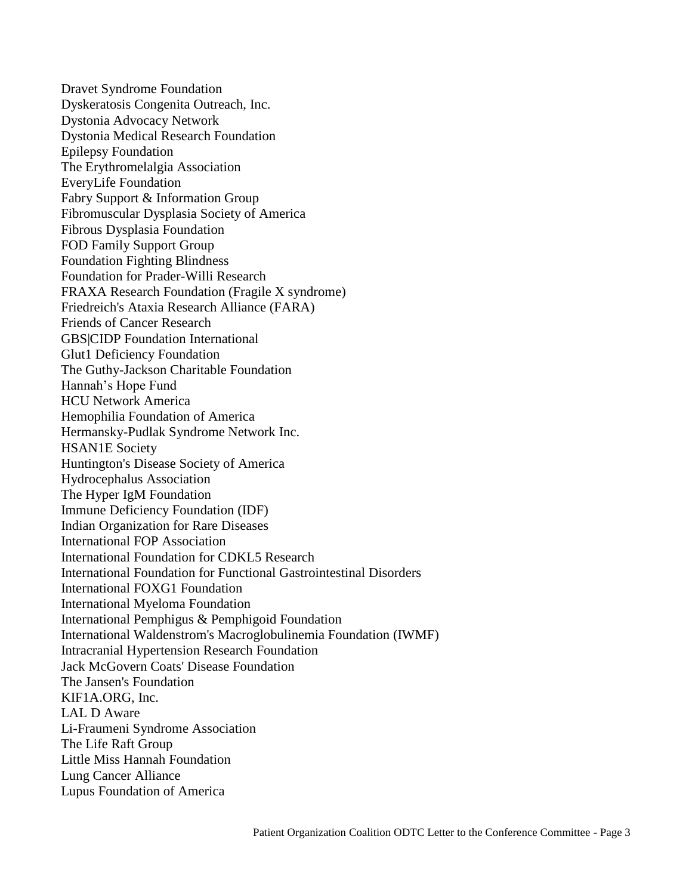Dravet Syndrome Foundation Dyskeratosis Congenita Outreach, Inc. Dystonia Advocacy Network Dystonia Medical Research Foundation Epilepsy Foundation The Erythromelalgia Association EveryLife Foundation Fabry Support & Information Group Fibromuscular Dysplasia Society of America Fibrous Dysplasia Foundation FOD Family Support Group Foundation Fighting Blindness Foundation for Prader-Willi Research FRAXA Research Foundation (Fragile X syndrome) Friedreich's Ataxia Research Alliance (FARA) Friends of Cancer Research GBS|CIDP Foundation International Glut1 Deficiency Foundation The Guthy-Jackson Charitable Foundation Hannah's Hope Fund HCU Network America Hemophilia Foundation of America Hermansky-Pudlak Syndrome Network Inc. HSAN1E Society Huntington's Disease Society of America Hydrocephalus Association The Hyper IgM Foundation Immune Deficiency Foundation (IDF) Indian Organization for Rare Diseases International FOP Association International Foundation for CDKL5 Research International Foundation for Functional Gastrointestinal Disorders International FOXG1 Foundation International Myeloma Foundation International Pemphigus & Pemphigoid Foundation International Waldenstrom's Macroglobulinemia Foundation (IWMF) Intracranial Hypertension Research Foundation Jack McGovern Coats' Disease Foundation The Jansen's Foundation KIF1A.ORG, Inc. LAL D Aware Li-Fraumeni Syndrome Association The Life Raft Group Little Miss Hannah Foundation Lung Cancer Alliance Lupus Foundation of America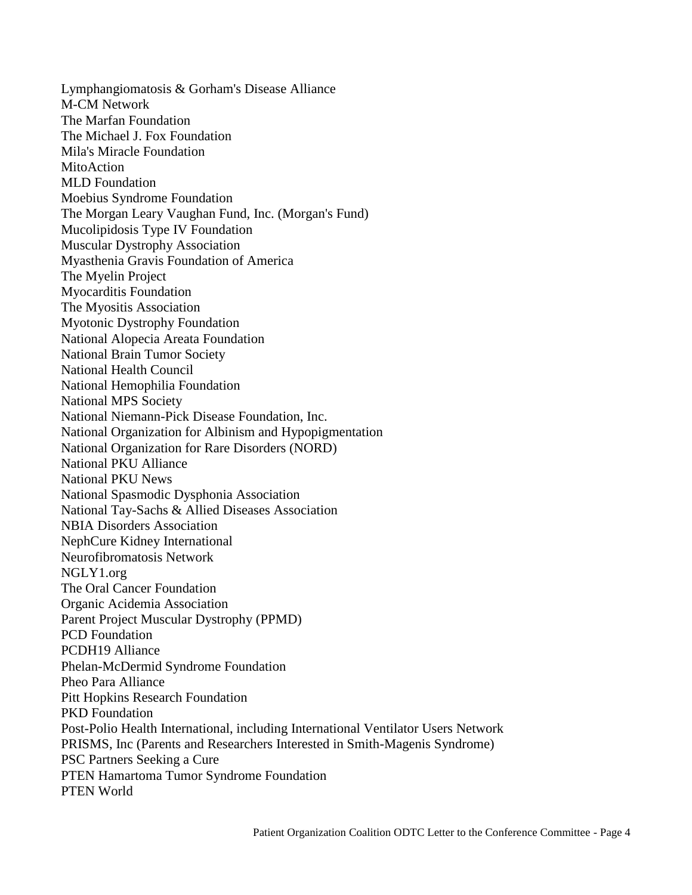Lymphangiomatosis & Gorham's Disease Alliance M-CM Network The Marfan Foundation The Michael J. Fox Foundation Mila's Miracle Foundation MitoAction MLD Foundation Moebius Syndrome Foundation The Morgan Leary Vaughan Fund, Inc. (Morgan's Fund) Mucolipidosis Type IV Foundation Muscular Dystrophy Association Myasthenia Gravis Foundation of America The Myelin Project Myocarditis Foundation The Myositis Association Myotonic Dystrophy Foundation National Alopecia Areata Foundation National Brain Tumor Society National Health Council National Hemophilia Foundation National MPS Society National Niemann-Pick Disease Foundation, Inc. National Organization for Albinism and Hypopigmentation National Organization for Rare Disorders (NORD) National PKU Alliance National PKU News National Spasmodic Dysphonia Association National Tay-Sachs & Allied Diseases Association NBIA Disorders Association NephCure Kidney International Neurofibromatosis Network NGLY1.org The Oral Cancer Foundation Organic Acidemia Association Parent Project Muscular Dystrophy (PPMD) PCD Foundation PCDH19 Alliance Phelan-McDermid Syndrome Foundation Pheo Para Alliance Pitt Hopkins Research Foundation PKD Foundation Post-Polio Health International, including International Ventilator Users Network PRISMS, Inc (Parents and Researchers Interested in Smith-Magenis Syndrome) PSC Partners Seeking a Cure PTEN Hamartoma Tumor Syndrome Foundation PTEN World